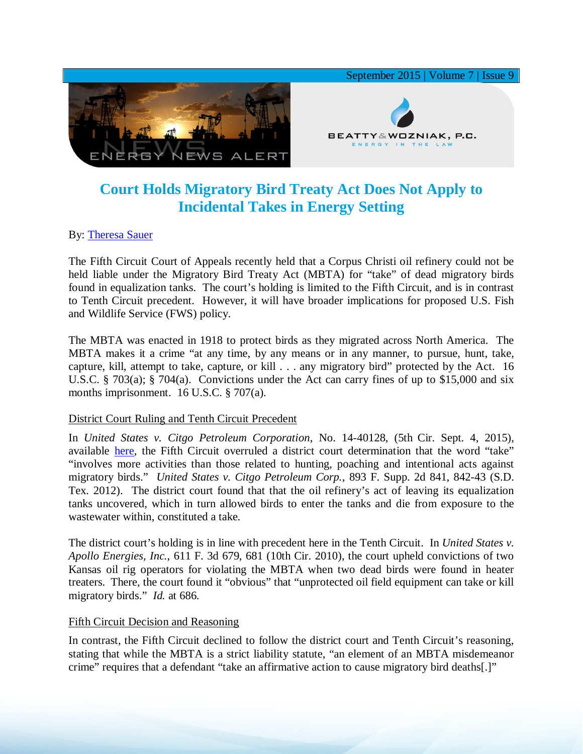

# **Court Holds Migratory Bird Treaty Act Does Not Apply to Incidental Takes in Energy Setting**

# By: [Theresa Sauer](http://www.bwenergylaw.com/#!theresa-sauer/cgz0)

The Fifth Circuit Court of Appeals recently held that a Corpus Christi oil refinery could not be held liable under the Migratory Bird Treaty Act (MBTA) for "take" of dead migratory birds found in equalization tanks. The court's holding is limited to the Fifth Circuit, and is in contrast to Tenth Circuit precedent. However, it will have broader implications for proposed U.S. Fish and Wildlife Service (FWS) policy.

The MBTA was enacted in 1918 to protect birds as they migrated across North America. The MBTA makes it a crime "at any time, by any means or in any manner, to pursue, hunt, take, capture, kill, attempt to take, capture, or kill . . . any migratory bird" protected by the Act. 16 U.S.C. § 703(a); § 704(a). Convictions under the Act can carry fines of up to \$15,000 and six months imprisonment. 16 U.S.C. § 707(a).

### District Court Ruling and Tenth Circuit Precedent

In *United States v. Citgo Petroleum Corporation*, No. 14-40128, (5th Cir. Sept. 4, 2015), available [here,](http://media.wix.com/ugd/2f2374_5b4c6c6cb26d42519df00d83acc7c949.pdf) the Fifth Circuit overruled a district court determination that the word "take" "involves more activities than those related to hunting, poaching and intentional acts against migratory birds." *United States v. Citgo Petroleum Corp.*, 893 F. Supp. 2d 841, 842-43 (S.D. Tex. 2012). The district court found that that the oil refinery's act of leaving its equalization tanks uncovered, which in turn allowed birds to enter the tanks and die from exposure to the wastewater within, constituted a take.

The district court's holding is in line with precedent here in the Tenth Circuit. In *United States v. Apollo Energies, Inc.*, 611 F. 3d 679, 681 (10th Cir. 2010), the court upheld convictions of two Kansas oil rig operators for violating the MBTA when two dead birds were found in heater treaters. There, the court found it "obvious" that "unprotected oil field equipment can take or kill migratory birds." *Id.* at 686.

### Fifth Circuit Decision and Reasoning

In contrast, the Fifth Circuit declined to follow the district court and Tenth Circuit's reasoning, stating that while the MBTA is a strict liability statute, "an element of an MBTA misdemeanor crime" requires that a defendant "take an affirmative action to cause migratory bird deaths[.]"